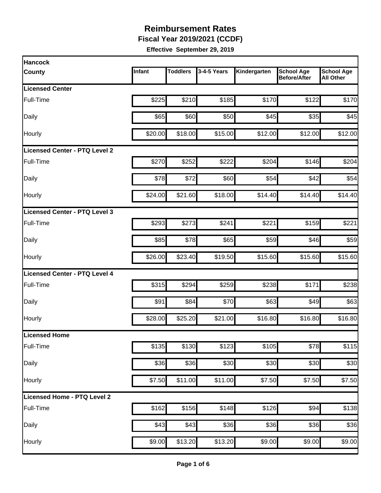**Fiscal Year 2019/2021 (CCDF)** 

| <b>Hancock</b>                       |         |                 |             |              |                                          |                                       |
|--------------------------------------|---------|-----------------|-------------|--------------|------------------------------------------|---------------------------------------|
| <b>County</b>                        | Infant  | <b>Toddlers</b> | 3-4-5 Years | Kindergarten | <b>School Age</b><br><b>Before/After</b> | <b>School Age</b><br><b>All Other</b> |
| <b>Licensed Center</b>               |         |                 |             |              |                                          |                                       |
| Full-Time                            | \$225   | \$210           | \$185       | \$170        | \$122                                    | \$170                                 |
| Daily                                | \$65    | \$60            | \$50        | \$45         | \$35                                     | \$45                                  |
| Hourly                               | \$20.00 | \$18.00         | \$15.00     | \$12.00      | \$12.00                                  | \$12.00                               |
| <b>Licensed Center - PTQ Level 2</b> |         |                 |             |              |                                          |                                       |
| Full-Time                            | \$270   | \$252           | \$222       | \$204        | \$146                                    | \$204                                 |
| Daily                                | \$78    | \$72            | \$60        | \$54         | \$42                                     | \$54                                  |
| Hourly                               | \$24.00 | \$21.60         | \$18.00     | \$14.40      | \$14.40                                  | \$14.40                               |
| Licensed Center - PTQ Level 3        |         |                 |             |              |                                          |                                       |
| Full-Time                            | \$293   | \$273           | \$241       | \$221        | \$159                                    | \$221                                 |
| Daily                                | \$85    | \$78]           | \$65        | \$59         | \$46                                     | \$59                                  |
| Hourly                               | \$26.00 | \$23.40         | \$19.50     | \$15.60      | \$15.60                                  | \$15.60                               |
| Licensed Center - PTQ Level 4        |         |                 |             |              |                                          |                                       |
| Full-Time                            | \$315   | \$294           | \$259       | \$238        | \$171                                    | \$238                                 |
| Daily                                | \$91    | \$84            | \$70        | \$63         | \$49                                     | \$63                                  |
| Hourly                               | \$28.00 | \$25.20         | \$21.00     | \$16.80      | \$16.80                                  | \$16.80                               |
| Licensed Home                        |         |                 |             |              |                                          |                                       |
| Full-Time                            | \$135   | \$130           | \$123       | \$105        | \$78                                     | \$115                                 |
| Daily                                | \$36    | \$36            | \$30        | \$30         | \$30                                     | \$30                                  |
| Hourly                               | \$7.50  | \$11.00         | \$11.00     | \$7.50       | \$7.50                                   | \$7.50                                |
| Licensed Home - PTQ Level 2          |         |                 |             |              |                                          |                                       |
| Full-Time                            | \$162   | \$156           | \$148       | \$126        | \$94                                     | \$138                                 |
| Daily                                | \$43    | \$43            | \$36        | \$36         | \$36                                     | \$36                                  |
| Hourly                               | \$9.00  | \$13.20         | \$13.20     | \$9.00       | \$9.00                                   | \$9.00                                |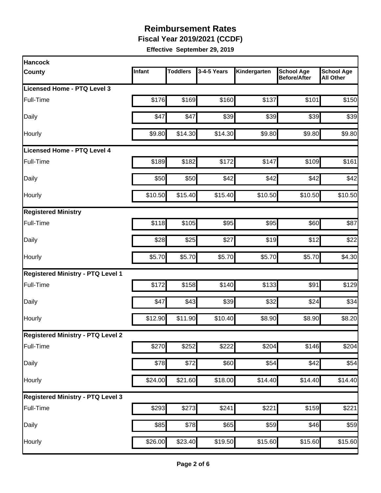**Fiscal Year 2019/2021 (CCDF)** 

| <b>Hancock</b>                           |         |                 |             |              |                                          |                                       |
|------------------------------------------|---------|-----------------|-------------|--------------|------------------------------------------|---------------------------------------|
| County                                   | Infant  | <b>Toddlers</b> | 3-4-5 Years | Kindergarten | <b>School Age</b><br><b>Before/After</b> | <b>School Age</b><br><b>All Other</b> |
| Licensed Home - PTQ Level 3              |         |                 |             |              |                                          |                                       |
| Full-Time                                | \$176   | \$169           | \$160       | \$137        | \$101                                    | \$150                                 |
| Daily                                    | \$47    | \$47            | \$39        | \$39         | \$39                                     | \$39                                  |
| Hourly                                   | \$9.80  | \$14.30         | \$14.30     | \$9.80       | \$9.80                                   | \$9.80                                |
| Licensed Home - PTQ Level 4              |         |                 |             |              |                                          |                                       |
| Full-Time                                | \$189   | \$182           | \$172       | \$147        | \$109                                    | \$161                                 |
| Daily                                    | \$50    | \$50            | \$42        | \$42         | \$42                                     | \$42                                  |
| Hourly                                   | \$10.50 | \$15.40         | \$15.40     | \$10.50      | \$10.50                                  | \$10.50                               |
| <b>Registered Ministry</b>               |         |                 |             |              |                                          |                                       |
| Full-Time                                | \$118   | \$105           | \$95        | \$95         | \$60                                     | \$87                                  |
| Daily                                    | \$28    | \$25            | \$27        | \$19         | \$12                                     | \$22                                  |
| Hourly                                   | \$5.70  | \$5.70          | \$5.70      | \$5.70       | \$5.70                                   | \$4.30                                |
| <b>Registered Ministry - PTQ Level 1</b> |         |                 |             |              |                                          |                                       |
| Full-Time                                | \$172   | \$158           | \$140       | \$133        | \$91                                     | \$129                                 |
| Daily                                    | \$47    | \$43            | \$39        | \$32         | \$24                                     | \$34                                  |
| Hourly                                   | \$12.90 | \$11.90         | \$10.40     | \$8.90       | \$8.90                                   | \$8.20                                |
| <b>Registered Ministry - PTQ Level 2</b> |         |                 |             |              |                                          |                                       |
| Full-Time                                | \$270   | \$252           | \$222       | \$204        | \$146                                    | \$204                                 |
| Daily                                    | \$78    | \$72            | \$60        | \$54         | \$42                                     | \$54                                  |
| Hourly                                   | \$24.00 | \$21.60         | \$18.00     | \$14.40      | \$14.40                                  | \$14.40                               |
| <b>Registered Ministry - PTQ Level 3</b> |         |                 |             |              |                                          |                                       |
| Full-Time                                | \$293   | \$273           | \$241       | \$221        | \$159                                    | \$221                                 |
| Daily                                    | \$85    | \$78            | \$65        | \$59         | \$46                                     | \$59                                  |
| Hourly                                   | \$26.00 | \$23.40         | \$19.50     | \$15.60      | \$15.60                                  | \$15.60                               |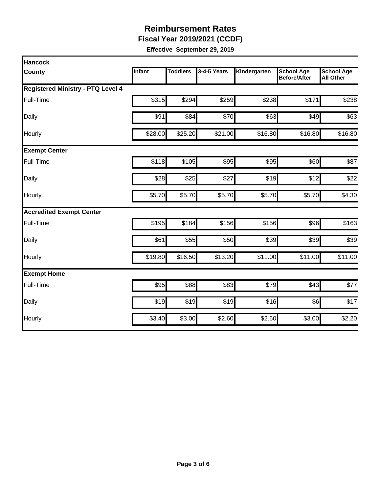**Fiscal Year 2019/2021 (CCDF)** 

| <b>Hancock</b>                           |               |                 |             |              |                                   |                                       |  |  |  |
|------------------------------------------|---------------|-----------------|-------------|--------------|-----------------------------------|---------------------------------------|--|--|--|
| <b>County</b>                            | <b>Infant</b> | <b>Toddlers</b> | 3-4-5 Years | Kindergarten | <b>School Age</b><br>Before/After | <b>School Age</b><br><b>All Other</b> |  |  |  |
| <b>Registered Ministry - PTQ Level 4</b> |               |                 |             |              |                                   |                                       |  |  |  |
| Full-Time                                | \$315         | \$294           | \$259       | \$238        | \$171                             | \$238                                 |  |  |  |
| Daily                                    | \$91          | \$84            | \$70        | \$63         | \$49                              | \$63                                  |  |  |  |
| Hourly                                   | \$28.00       | \$25.20         | \$21.00     | \$16.80      | \$16.80                           | \$16.80                               |  |  |  |
| <b>Exempt Center</b>                     |               |                 |             |              |                                   |                                       |  |  |  |
| Full-Time                                | \$118         | \$105           | \$95        | \$95         | \$60                              | \$87                                  |  |  |  |
| Daily                                    | \$28          | \$25            | \$27        | \$19         | \$12                              | \$22                                  |  |  |  |
| Hourly                                   | \$5.70        | \$5.70          | \$5.70      | \$5.70       | \$5.70                            | \$4.30                                |  |  |  |
| <b>Accredited Exempt Center</b>          |               |                 |             |              |                                   |                                       |  |  |  |
| Full-Time                                | \$195         | \$184           | \$156       | \$156        | \$96                              | \$163                                 |  |  |  |
| Daily                                    | \$61          | \$55            | \$50        | \$39         | \$39                              | \$39                                  |  |  |  |
| Hourly                                   | \$19.80       | \$16.50         | \$13.20     | \$11.00      | \$11.00                           | \$11.00                               |  |  |  |
| <b>Exempt Home</b>                       |               |                 |             |              |                                   |                                       |  |  |  |
| Full-Time                                | \$95          | \$88            | \$83        | \$79         | \$43                              | \$77                                  |  |  |  |
| Daily                                    | \$19          | \$19            | \$19        | \$16         | \$6                               | \$17                                  |  |  |  |
| Hourly                                   | \$3.40        | \$3.00          | \$2.60      | \$2.60       | \$3.00                            | \$2.20                                |  |  |  |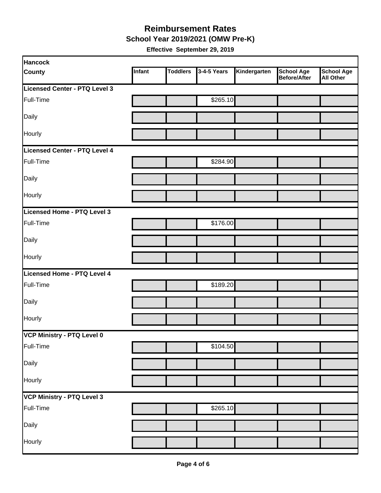#### **Reimbursement Rates School Year 2019/2021 (OMW Pre-K)**

| <b>Hancock</b>                |        |                 |             |              |                                          |                         |
|-------------------------------|--------|-----------------|-------------|--------------|------------------------------------------|-------------------------|
| <b>County</b>                 | Infant | <b>Toddlers</b> | 3-4-5 Years | Kindergarten | <b>School Age</b><br><b>Before/After</b> | School Age<br>All Other |
| Licensed Center - PTQ Level 3 |        |                 |             |              |                                          |                         |
| Full-Time                     |        |                 | \$265.10    |              |                                          |                         |
| Daily                         |        |                 |             |              |                                          |                         |
| Hourly                        |        |                 |             |              |                                          |                         |
| Licensed Center - PTQ Level 4 |        |                 |             |              |                                          |                         |
| Full-Time                     |        |                 | \$284.90    |              |                                          |                         |
| Daily                         |        |                 |             |              |                                          |                         |
| Hourly                        |        |                 |             |              |                                          |                         |
| Licensed Home - PTQ Level 3   |        |                 |             |              |                                          |                         |
| Full-Time                     |        |                 | \$176.00    |              |                                          |                         |
| Daily                         |        |                 |             |              |                                          |                         |
| Hourly                        |        |                 |             |              |                                          |                         |
| Licensed Home - PTQ Level 4   |        |                 |             |              |                                          |                         |
| Full-Time                     |        |                 | \$189.20    |              |                                          |                         |
| Daily                         |        |                 |             |              |                                          |                         |
| Hourly                        |        |                 |             |              |                                          |                         |
| VCP Ministry - PTQ Level 0    |        |                 |             |              |                                          |                         |
| Full-Time                     |        |                 | \$104.50    |              |                                          |                         |
| Daily                         |        |                 |             |              |                                          |                         |
| Hourly                        |        |                 |             |              |                                          |                         |
| VCP Ministry - PTQ Level 3    |        |                 |             |              |                                          |                         |
| Full-Time                     |        |                 | \$265.10    |              |                                          |                         |
| Daily                         |        |                 |             |              |                                          |                         |
| Hourly                        |        |                 |             |              |                                          |                         |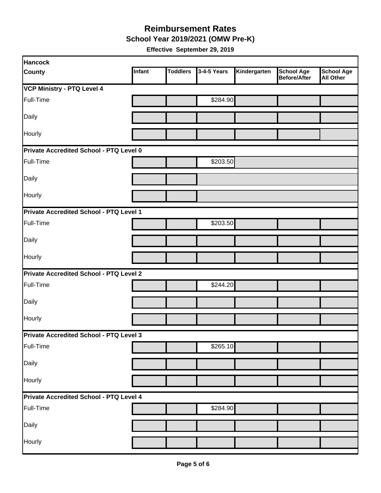**School Year 2019/2021 (OMW Pre-K)** 

| <b>Hancock</b>                          |        |                 |             |              |                                          |                                       |
|-----------------------------------------|--------|-----------------|-------------|--------------|------------------------------------------|---------------------------------------|
| <b>County</b>                           | Infant | <b>Toddlers</b> | 3-4-5 Years | Kindergarten | <b>School Age</b><br><b>Before/After</b> | <b>School Age</b><br><b>All Other</b> |
| <b>VCP Ministry - PTQ Level 4</b>       |        |                 |             |              |                                          |                                       |
| Full-Time                               |        |                 | \$284.90    |              |                                          |                                       |
| Daily                                   |        |                 |             |              |                                          |                                       |
| Hourly                                  |        |                 |             |              |                                          |                                       |
| Private Accredited School - PTQ Level 0 |        |                 |             |              |                                          |                                       |
| Full-Time                               |        |                 | \$203.50    |              |                                          |                                       |
| Daily                                   |        |                 |             |              |                                          |                                       |
| Hourly                                  |        |                 |             |              |                                          |                                       |
| Private Accredited School - PTQ Level 1 |        |                 |             |              |                                          |                                       |
| Full-Time                               |        |                 | \$203.50    |              |                                          |                                       |
| Daily                                   |        |                 |             |              |                                          |                                       |
| Hourly                                  |        |                 |             |              |                                          |                                       |
| Private Accredited School - PTQ Level 2 |        |                 |             |              |                                          |                                       |
| Full-Time                               |        |                 | \$244.20    |              |                                          |                                       |
| Daily                                   |        |                 |             |              |                                          |                                       |
| Hourly                                  |        |                 |             |              |                                          |                                       |
| Private Accredited School - PTQ Level 3 |        |                 |             |              |                                          |                                       |
| Full-Time                               |        |                 | \$265.10    |              |                                          |                                       |
| Daily                                   |        |                 |             |              |                                          |                                       |
| Hourly                                  |        |                 |             |              |                                          |                                       |
| Private Accredited School - PTQ Level 4 |        |                 |             |              |                                          |                                       |
| Full-Time                               |        |                 | \$284.90    |              |                                          |                                       |
| Daily                                   |        |                 |             |              |                                          |                                       |
| Hourly                                  |        |                 |             |              |                                          |                                       |